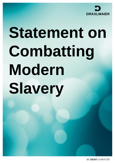

# **Statement on Combatting Modern Slavery**

WE CREATE CHARACTER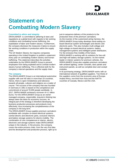

# **Statement on Combatting Modern Slavery**

## **Committed to ethics and integrity**

DRÄXLMAIER is committed to adhering to laws and regulations at a global level with regards to fair working conditions and combatting human trafficking, the exploitation of labor and modern slavery. Furthermore, the company discloses the measures it takes to ensure fair working conditions in production within the supply chain.

The UK Modern Slavery Act requires companies operating in the United Kingdom to publish a statement every year on combatting modern slavery and human trafficking. This statement describes the activities undertaken by the DRÄXLMAIER Group to prevent employees from being exploited and to combat modern slavery human trafficking. This is effective both for the company's internal operations and the supply chain.

#### **The company**

The DRÄXLMAIER Group is an international automotive supplier with over 60 sites in more than 20 countries. Hence, there is open-mindedness and tolerance towards all people, cultures and religions as a matter of course. The success of the company that was founded in Germany in 1951 is based on the competence and commitment of around 70,000 people worldwide. In 2017, DRÄXLMAIER achieved a turnover of 4.1 billion Euros. For the DRÄXLMAIER Group as an ownermanaged company, responsible, long-term thinking has always been the basis for economic success. An integral part of the strategy is therefore developing the business production processes and products more effectively, thus increasing the competitiveness of the company in the long term.

The DRÄXLMAIER Group supplies premium carmakers worldwide with complex on-board electrical systems, central electric and electronic parts, exclusive interiors and battery storage systems for electro-mobility. The combination of core competences in interior, electric, electronic and storage systems make DRÄXLMAIER unique in the industry. In the process, the company covers the entire process chain, from the very first idea and the development and production process, right up to just-in-sequence delivery of the products to the production lines of the premium carmakers. As the inventor of the customized wiring harness, the DRÄXLMAIER Group today develops trend-setting onboard electrical system technologies and electric and electronic parts. This also includes multi-voltage and high-voltage on-board electrical systems, battery management systems and intelligent power distributors. For the emission-free mobility of the future, DRÄXLMAIER is working with its solutions for low-volt and high-volt battery storage systems. As the market leader in interior systems for premium vehicles, the DRÄXLMAIER Group also supplies premium carmakers with ambient lighting, center consoles, door panels and instrument panels, as well as complete door and cockpit modules.

In its purchasing strategy, DRÄXLMAIER works with an international network of qualified suppliers. Two thirds of the suppliers come from the economic area of Europe-Arabia-Africa, one third from Asia and the NAFTA countries of Canada, Mexico and the USA.